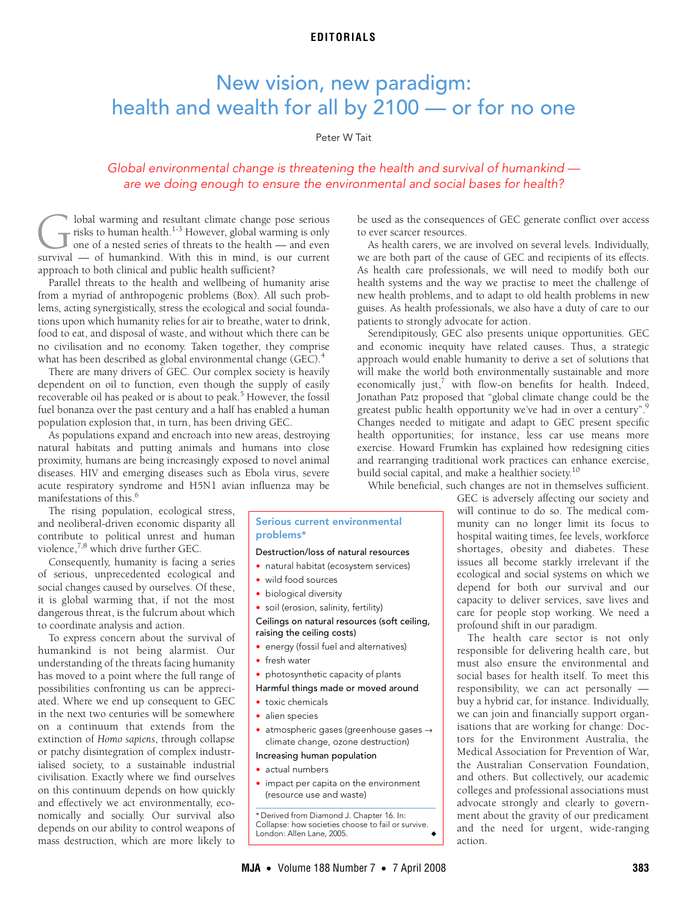## **EDITORIALS**

# <span id="page-0-0"></span>New vision, new paradigm: health and wealth for all by 2100 — or for no one

### Peter W Tait

# Global environmental change is threatening the health and survival of humankind are we doing enough to ensure the environmental and social bases for health?

lobal warming and resultant climate change pose serious risks to human health.<sup>[1](#page-1-0)-3</sup> However, global warming is only one of a nested series of threats to the health — and even **Surfar** lobal warming and resultant climate change pose serious risks to human health.<sup>1-3</sup> However, global warming is only one of a nested series of threats to the health — and even survival — of humankind. With this in approach to both clinical and public health sufficient?

From a myriad of anthropogenic problems [\(Box\)](#page-0-1). All such problems, acting synergistically, stress the ecological and social foundaacting syncighotican), stress the ecological at tions upon which humanity relies for air to breathe, water to drink, food to eat, and disposal of waste, and without which there can be Parallel threats to the health and wellbeing of humanity arise no civilisation and no economy. Taken together, they comprise what has been described as global environmental change (GEC).<sup>[4](#page-1-2)</sup>

There are many drivers of GEC. Our complex society is heavily dependent on oil to function, even though the supply of easily recoverable oil has peaked or is about to peak.<sup>[5](#page-1-3)</sup> However, the fossil fuel bonanza over the past century and a half has enabled a human population explosion that, in turn, has been driving GEC.

As populations expand and encroach into new areas, destroying natural habitats and putting animals and humans into close proximity, humans are being increasingly exposed to novel animal diseases. HIV and emerging diseases such as Ebola virus, severe acute respiratory syndrome and H5N1 avian influenza may be manifestations of this.<sup>6</sup>

and neoliberal-driven economic disparity all contribute to political unrest and human

Consequently, humanity is facing a series to coordinate analysis and action.

To express concern about the survival of humankind is not being alarmist. Our understanding of the threats facing humanity has moved to a point where the full range of possibilities confronting us can be appreciated. Where we end up consequent to GEC in the next two centuries will be somewhere on a continuum that extends from the extinction of *Homo sapiens*, through collapse or patchy disintegration of complex industrialised society, to a sustainable industrial civilisation. Exactly where we find ourselves on this continuum depends on how quickly and effectively we act environmentally, economically and socially. Our survival also depends on our ability to control weapons of mass destruction, which are more likely to be used as the consequences of GEC generate conflict over access to ever scarcer resources.

As health carers, we are involved on several levels. Individually, we are both part of the cause of GEC and recipients of its effects. As health care professionals, we will need to modify both our health systems and the way we practise to meet the challenge of new health problems, and to adapt to old health problems in new guises. As health professionals, we also have a duty of care to our patients to strongly advocate for action.

Serendipitously, GEC also presents unique opportunities. GEC and economic inequity have related causes. Thus, a strategic approach would enable humanity to derive a set of solutions that will make the world both environmentally sustainable and more economically just,<sup>7</sup> with flow-on benefits for health. Indeed, Jonathan Patz proposed that "global climate change could be the greatest public health opportunity we've had in over a century".<sup>[9](#page-1-7)</sup> Changes needed to mitigate and adapt to GEC present specific health opportunities; for instance, less car use means more exercise. Howard Frumkin has explained how redesigning cities and rearranging traditional work practices can enhance exercise, build social capital, and make a healthier society.<sup>10</sup>

While beneficial, such changes are not in themselves sufficient.

The rising population, ecological stress, violence,<sup>[7](#page-1-5),[8](#page-1-6)</sup> which drive further GEC.

of serious, unprecedented ecological and social changes caused by ourselves. Of these, it is global warming that, if not the most dangerous threat, is the fulcrum about which

#### <span id="page-0-1"></span>Serious current environmental problems\*

#### Destruction/loss of natural resources

- natural habitat (ecosystem services)
- wild food sources
- biological diversity
- soil (erosion, salinity, fertility)

Ceilings on natural resources (soft ceiling, raising the ceiling costs)

- energy (fossil fuel and alternatives)
- fresh water
- photosynthetic capacity of plants

#### Harmful things made or moved around

- toxic chemicals
- alien species
- atmospheric gases (greenhouse gases → climate change, ozone destruction)

#### Increasing human population

- actual numbers
- impact per capita on the environment (resource use and waste)

\* Derived from Diamond J. Chapter 16. In: Collapse: how societies choose to fail or survive. London: Allen Lane, 2005.

GEC is adversely affecting our society and will continue to do so. The medical community can no longer limit its focus to hospital waiting times, fee levels, workforce shortages, obesity and diabetes. These issues all become starkly irrelevant if the ecological and social systems on which we depend for both our survival and our capacity to deliver services, save lives and care for people stop working. We need a profound shift in our paradigm.

The health care sector is not only responsible for delivering health care, but must also ensure the environmental and social bases for health itself. To meet this responsibility, we can act personally buy a hybrid car, for instance. Individually, we can join and financially support organisations that are working for change: Doctors for the Environment Australia, the Medical Association for Prevention of War, the Australian Conservation Foundation, and others. But collectively, our academic colleges and professional associations must advocate strongly and clearly to government about the gravity of our predicament and the need for urgent, wide-ranging action.